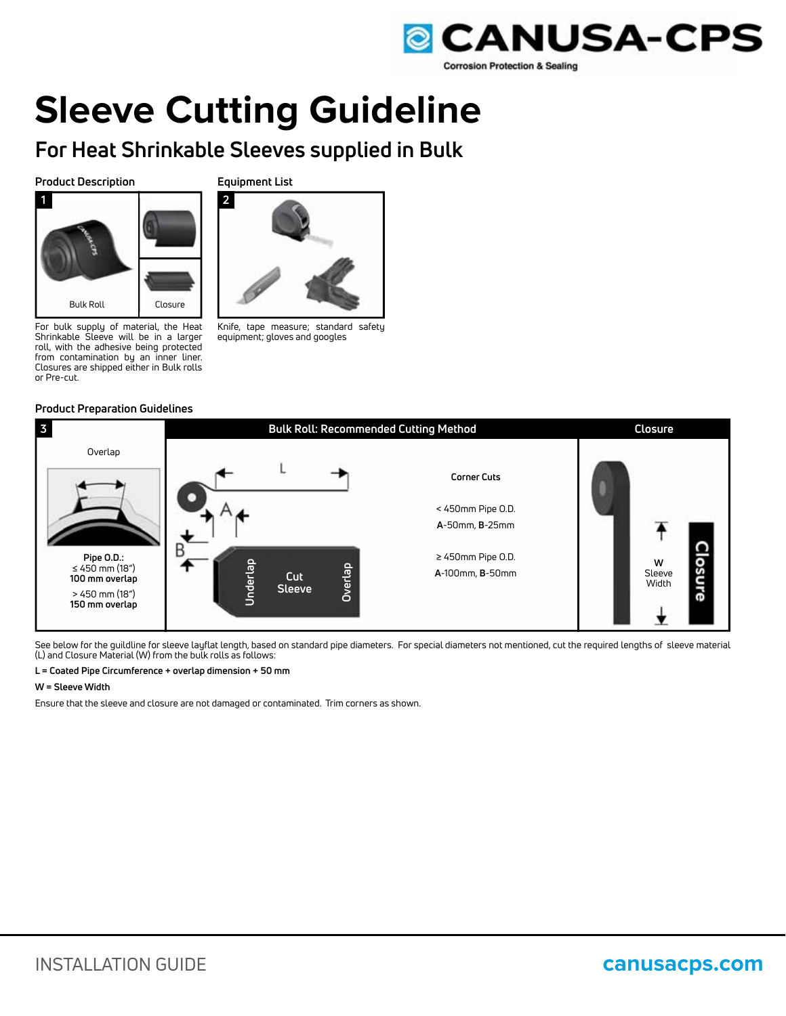

# **Sleeve Cutting Guideline**

# **For Heat Shrinkable Sleeves supplied in Bulk**

# **Product Description**





For bulk supply of material, the Heat Shrinkable Sleeve will be in a larger roll, with the adhesive being protected from contamination by an inner liner. Closures are shipped either in Bulk rolls or Pre-cut.

Bulk Roll Closure

#### Knife, tape measure; standard safety equipment; gloves and googles

# **Product Preparation Guidelines**



See below for the guildline for sleeve layflat length, based on standard pipe diameters. For special diameters not mentioned, cut the required lengths of sleeve material (L) and Closure Material (W) from the bulk rolls as follows:

#### **L = Coated Pipe Circumference + overlap dimension + 50 mm**

#### **W = Sleeve Width**

Ensure that the sleeve and closure are not damaged or contaminated. Trim corners as shown.